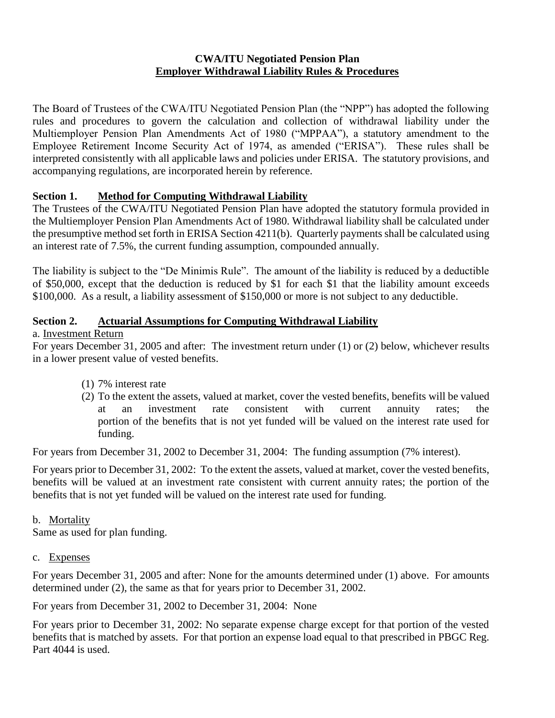## **CWA/ITU Negotiated Pension Plan Employer Withdrawal Liability Rules & Procedures**

The Board of Trustees of the CWA/ITU Negotiated Pension Plan (the "NPP") has adopted the following rules and procedures to govern the calculation and collection of withdrawal liability under the Multiemployer Pension Plan Amendments Act of 1980 ("MPPAA"), a statutory amendment to the Employee Retirement Income Security Act of 1974, as amended ("ERISA"). These rules shall be interpreted consistently with all applicable laws and policies under ERISA. The statutory provisions, and accompanying regulations, are incorporated herein by reference.

# **Section 1. Method for Computing Withdrawal Liability**

The Trustees of the CWA/ITU Negotiated Pension Plan have adopted the statutory formula provided in the Multiemployer Pension Plan Amendments Act of 1980. Withdrawal liability shall be calculated under the presumptive method set forth in ERISA Section 4211(b). Quarterly payments shall be calculated using an interest rate of 7.5%, the current funding assumption, compounded annually.

The liability is subject to the "De Minimis Rule". The amount of the liability is reduced by a deductible of \$50,000, except that the deduction is reduced by \$1 for each \$1 that the liability amount exceeds \$100,000. As a result, a liability assessment of \$150,000 or more is not subject to any deductible.

# **Section 2. Actuarial Assumptions for Computing Withdrawal Liability**

# a. Investment Return

For years December 31, 2005 and after: The investment return under (1) or (2) below, whichever results in a lower present value of vested benefits.

- (1) 7% interest rate
- (2) To the extent the assets, valued at market, cover the vested benefits, benefits will be valued at an investment rate consistent with current annuity rates; the portion of the benefits that is not yet funded will be valued on the interest rate used for funding.

For years from December 31, 2002 to December 31, 2004: The funding assumption (7% interest).

For years prior to December 31, 2002: To the extent the assets, valued at market, cover the vested benefits, benefits will be valued at an investment rate consistent with current annuity rates; the portion of the benefits that is not yet funded will be valued on the interest rate used for funding.

# b. Mortality

Same as used for plan funding.

c. Expenses

For years December 31, 2005 and after: None for the amounts determined under (1) above. For amounts determined under (2), the same as that for years prior to December 31, 2002.

For years from December 31, 2002 to December 31, 2004: None

For years prior to December 31, 2002: No separate expense charge except for that portion of the vested benefits that is matched by assets. For that portion an expense load equal to that prescribed in PBGC Reg. Part 4044 is used.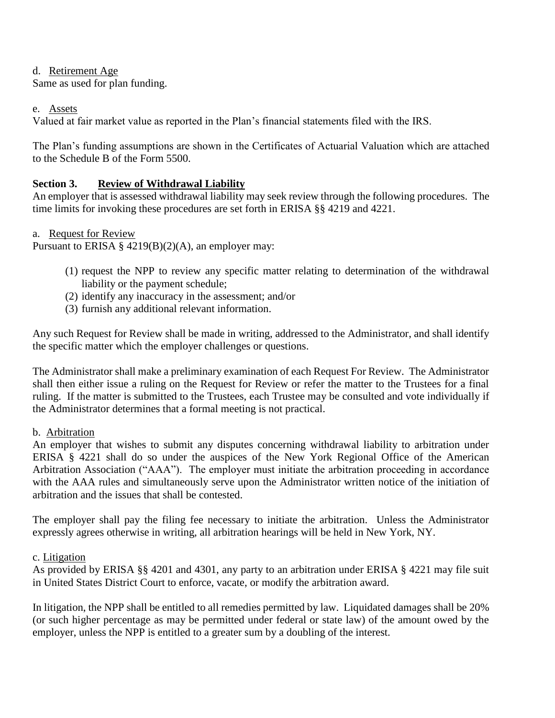#### d. Retirement Age

Same as used for plan funding.

#### e. Assets

Valued at fair market value as reported in the Plan's financial statements filed with the IRS.

The Plan's funding assumptions are shown in the Certificates of Actuarial Valuation which are attached to the Schedule B of the Form 5500.

# **Section 3. Review of Withdrawal Liability**

An employer that is assessed withdrawal liability may seek review through the following procedures. The time limits for invoking these procedures are set forth in ERISA §§ 4219 and 4221.

#### a. Request for Review

Pursuant to ERISA §  $4219(B)(2)(A)$ , an employer may:

- (1) request the NPP to review any specific matter relating to determination of the withdrawal liability or the payment schedule;
- (2) identify any inaccuracy in the assessment; and/or
- (3) furnish any additional relevant information.

Any such Request for Review shall be made in writing, addressed to the Administrator, and shall identify the specific matter which the employer challenges or questions.

The Administrator shall make a preliminary examination of each Request For Review. The Administrator shall then either issue a ruling on the Request for Review or refer the matter to the Trustees for a final ruling. If the matter is submitted to the Trustees, each Trustee may be consulted and vote individually if the Administrator determines that a formal meeting is not practical.

#### b. Arbitration

An employer that wishes to submit any disputes concerning withdrawal liability to arbitration under ERISA § 4221 shall do so under the auspices of the New York Regional Office of the American Arbitration Association ("AAA"). The employer must initiate the arbitration proceeding in accordance with the AAA rules and simultaneously serve upon the Administrator written notice of the initiation of arbitration and the issues that shall be contested.

The employer shall pay the filing fee necessary to initiate the arbitration. Unless the Administrator expressly agrees otherwise in writing, all arbitration hearings will be held in New York, NY.

c. Litigation

As provided by ERISA §§ 4201 and 4301, any party to an arbitration under ERISA § 4221 may file suit in United States District Court to enforce, vacate, or modify the arbitration award.

In litigation, the NPP shall be entitled to all remedies permitted by law. Liquidated damages shall be 20% (or such higher percentage as may be permitted under federal or state law) of the amount owed by the employer, unless the NPP is entitled to a greater sum by a doubling of the interest.